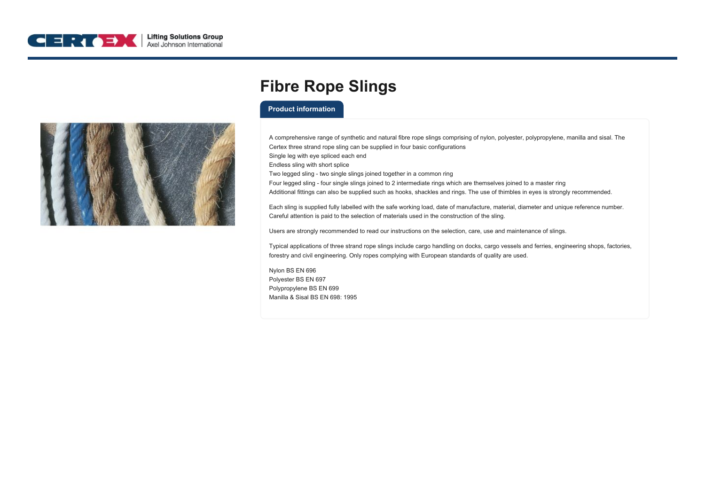



## **Fibre Rope Slings**

## **Product information**

A comprehensive range of synthetic and natural fibre rope slings comprising of nylon, polyester, polypropylene, manilla and sisal. The Certex three strand rope sling can be supplied in four basic configurations Single leg with eye spliced each end Endless sling with short splice Two legged sling - two single slings joined together in a common ring Four legged sling - four single slings joined to 2 intermediate rings which are themselves joined to a master ring Additional fittings can also be supplied such as hooks, shackles and rings. The use of thimbles in eyes is strongly recommended.

Each sling is supplied fully labelled with the safe working load, date of manufacture, material, diameter and unique reference number. Careful attention is paid to the selection of materials used in the construction of the sling.

Users are strongly recommended to read our instructions on the selection, care, use and maintenance of slings.

Typical applications of three strand rope slings include cargo handling on docks, cargo vessels and ferries, engineering shops, factories, forestry and civil engineering. Only ropes complying with European standards of quality are used.

Nylon BS EN 696 Polyester BS EN 697 Polypropylene BS EN 699 Manilla & Sisal BS EN 698: 1995